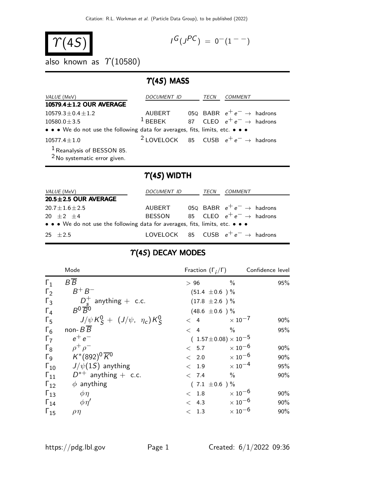$$
\boxed{\gamma(4S)}
$$

$$
I^G(J^{PC}) = 0^-(1^{--})
$$

also known as  $\gamma$ (10580)

#### $T(4S)$  MASS

| VALUE (MeV)                                                                      | <i>DOCUMENT ID</i> | TECN | COMMENT                                                    |
|----------------------------------------------------------------------------------|--------------------|------|------------------------------------------------------------|
| 10579.4±1.2 OUR AVERAGE                                                          |                    |      |                                                            |
| $10579.3 \pm 0.4 \pm 1.2$                                                        | AUBERT             |      | 05Q BABR $e^+e^- \rightarrow$ hadrons                      |
| $10580.0 \pm 3.5$                                                                | $1$ BFBFK          |      | 87 CLEO $e^+e^- \rightarrow$ hadrons                       |
| • • • We do not use the following data for averages, fits, limits, etc. • • •    |                    |      |                                                            |
| $10577.4 \pm 1.0$                                                                |                    |      | <sup>2</sup> LOVELOCK 85 CUSB $e^+e^- \rightarrow$ hadrons |
| <sup>1</sup> Reanalysis of BESSON 85.<br><sup>2</sup> No systematic error given. |                    |      |                                                            |

#### $\Upsilon(4S)$  WIDTH

| <i>VALUE</i> (MeV)                                                            | DOCUMENT ID   | TECN | COMMENT                                       |
|-------------------------------------------------------------------------------|---------------|------|-----------------------------------------------|
| $20.5 \pm 2.5$ OUR AVERAGE                                                    |               |      |                                               |
| $20.7 \pm 1.6 \pm 2.5$                                                        | AUBERT        |      | 05Q BABR $e^+e^- \rightarrow$ hadrons         |
| $20 + 2 + 4$                                                                  | <b>BESSON</b> |      | 85 CLEO $e^+e^- \rightarrow$ hadrons          |
| • • • We do not use the following data for averages, fits, limits, etc. • • • |               |      |                                               |
| $25 + 2.5$                                                                    |               |      | LOVELOCK 85 CUSB $e^+e^- \rightarrow$ hadrons |

#### $\Upsilon(4S)$  DECAY MODES

|                       | Mode                                    | Fraction $(\Gamma_i/\Gamma)$     | Confidence level          |        |
|-----------------------|-----------------------------------------|----------------------------------|---------------------------|--------|
| $\Gamma_1$            | $B\overline{B}$                         | >96                              | $\%$                      | 95%    |
| $\Gamma_2$            | $B^+ B^-$                               | $(51.4 \pm 0.6)$ %               |                           |        |
| $\Gamma_3$            | $D_s^+$ anything + c.c.                 | $(17.8 \pm 2.6)$ %               |                           |        |
| $\Gamma_4$            | $R^0 \overline{R}{}^0$                  | $(48.6 \pm 0.6)$ %               |                           |        |
| $\Gamma_5$            | $J/\psi K_S^0 + (J/\psi, \eta_c) K_S^0$ | $\langle 4$                      | $\times$ 10 $^{-7}$       | $90\%$ |
| $\Gamma_6$            | non- $B B$                              | $\langle 4$                      | $\%$                      | 95%    |
| $\Gamma_7$            | $e^+e^-$                                | $(1.57 \pm 0.08) \times 10^{-5}$ |                           |        |
| $\Gamma_8$            | $\rho^+\rho^-$                          | < 5.7                            | $\times$ 10 $^{-6}$       | 90%    |
| $\Gamma$ <sub>9</sub> | $K^*(892)^0\overline{K}^0$              | < 2.0                            | $\times$ 10 $^{-6}$       | 90%    |
| $\Gamma_{10}$         | $J/\psi(1S)$ anything                   | < 1.9                            | $\times$ 10 $^{-4}$       | 95%    |
| $\Gamma_{11}$         | $D^{*+}$ anything + c.c.                | < 7.4                            | $\%$                      | 90%    |
| $\Gamma_{12}$         | $\phi$ anything                         | $(7.1 \pm 0.6)$ %                |                           |        |
| $\Gamma_{13}$         | $\phi\eta$                              | < 1.8                            | $\times$ 10 <sup>-6</sup> | $90\%$ |
| $\Gamma_{14}$         | $\phi \eta'$                            | < 4.3                            | $\times$ 10 <sup>-6</sup> | 90%    |
| $\Gamma_{15}$         | $\rho\eta$                              | < 1.3                            | $\times$ 10 <sup>-6</sup> | 90%    |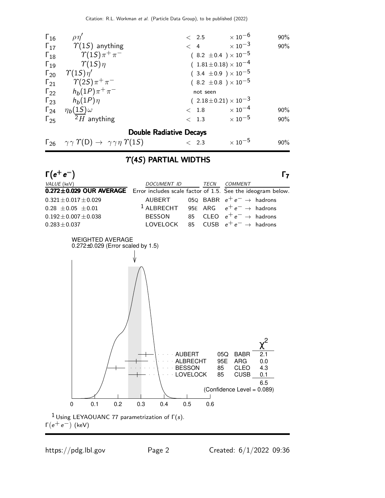| $\Gamma_{16}$ | $\rho\eta'$                              | $\langle$ 2.5                    | $\times$ 10 $^{-6}$<br>90% |
|---------------|------------------------------------------|----------------------------------|----------------------------|
|               | $\Gamma_{17}$ $\gamma(1S)$ anything      | < 4                              | $\times$ 10 $^{-3}$<br>90% |
| $\Gamma_{18}$ | $\gamma(1S)\pi^+\pi^-$                   | $(8.2 \pm 0.4) \times 10^{-5}$   |                            |
| $\Gamma_{19}$ | $\gamma(1S)\eta$                         | $(1.81 \pm 0.18) \times 10^{-4}$ |                            |
|               | $\Gamma_{20}$ $\gamma(1S)\eta'$          | $(3.4 \pm 0.9) \times 10^{-5}$   |                            |
|               | $\Gamma_{21}$ $\gamma(2S)\pi^{+}\pi^{-}$ | $(8.2 \pm 0.8) \times 10^{-5}$   |                            |
|               | $\Gamma_{22}$ $h_b(1P)\pi^+\pi^-$        | not seen                         |                            |
|               | $\Gamma_{23}$ $h_b(1P)\eta$              | $(2.18\pm0.21)\times10^{-3}$     |                            |
| $\Gamma_{24}$ | $\eta_b(1S)\omega$                       | $< 1.8 \times 10^{-4}$           | 90%                        |
| $\Gamma_{25}$ | $2H$ anything                            | < 1.3                            | $\times$ 10 $^{-5}$<br>90% |
|               |                                          | <b>Double Radiative Decays</b>   |                            |

## $\Gamma_{26}$   $\gamma \gamma \Upsilon(D) \rightarrow \gamma \gamma \eta \Upsilon(15)$  < 2.3  $\times 10^{-5}$  90%

#### $\Upsilon(4S)$  PARTIAL WIDTHS



<sup>1</sup> Using LEYAOUANC 77 parametrization of  $Γ(s)$ .  $Γ(e^+e^-)$  (keV)

https://pdg.lbl.gov Page 2 Created: 6/1/2022 09:36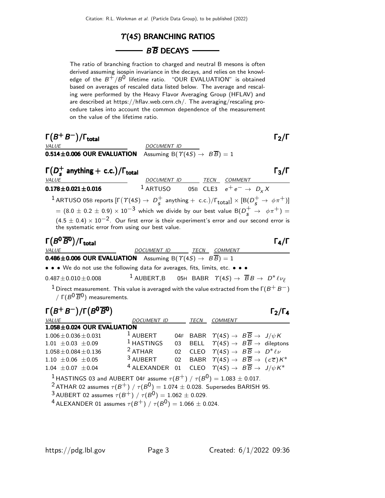# $\Upsilon$ (4S) BRANCHING RATIOS

#### $\overline{\phantom{AB}}$  B  $\overline{B}$  DECAYS -

The ratio of branching fraction to charged and neutral B mesons is often derived assuming isospin invariance in the decays, and relies on the knowledge of the  $B^+/B^0$  lifetime ratio. "OUR EVALUATION" is obtained based on averages of rescaled data listed below. The average and rescaling were performed by the Heavy Flavor Averaging Group (HFLAV) and are described at https://hflav.web.cern.ch/. The averaging/rescaling procedure takes into account the common dependence of the measurement on the value of the lifetime ratio.

| $\Gamma(B^+B^-)/\Gamma_{\rm total}$<br><b>VALUE</b>                                                                                                                                                                                                                                                                                                                                                                                                                                                                                                               | DOCUMENT ID                                                                                                                                                                                                                                                                                                |                                                                                                                                                              |  | $\Gamma_2/\Gamma$   |
|-------------------------------------------------------------------------------------------------------------------------------------------------------------------------------------------------------------------------------------------------------------------------------------------------------------------------------------------------------------------------------------------------------------------------------------------------------------------------------------------------------------------------------------------------------------------|------------------------------------------------------------------------------------------------------------------------------------------------------------------------------------------------------------------------------------------------------------------------------------------------------------|--------------------------------------------------------------------------------------------------------------------------------------------------------------|--|---------------------|
| $0.514 \pm 0.006$ OUR EVALUATION                                                                                                                                                                                                                                                                                                                                                                                                                                                                                                                                  | Assuming B( $\Upsilon(4S) \rightarrow B\overline{B}$ ) = 1                                                                                                                                                                                                                                                 |                                                                                                                                                              |  |                     |
| $\Gamma(D_{\epsilon}^{+}$ anything + c.c.)/ $\Gamma_{\text{total}}$<br>VALUE                                                                                                                                                                                                                                                                                                                                                                                                                                                                                      | DOCUMENT ID TECN COMMENT                                                                                                                                                                                                                                                                                   |                                                                                                                                                              |  | $\Gamma_3/\Gamma$   |
| $0.178 \pm 0.021 \pm 0.016$                                                                                                                                                                                                                                                                                                                                                                                                                                                                                                                                       | <sup>1</sup> ARTUSO 05B CLE3 $e^+e^- \rightarrow D_x X$                                                                                                                                                                                                                                                    |                                                                                                                                                              |  |                     |
| $^{-1}$ ARTUSO 05B reports $[\Gamma(\varUpsilon(4S) \to D^+_s$ anything $+$ c.c.)/ $\Gamma_{\rm total}] \times [B(D^+_s \to \phi \pi^+)]$                                                                                                                                                                                                                                                                                                                                                                                                                         |                                                                                                                                                                                                                                                                                                            |                                                                                                                                                              |  |                     |
| $= (8.0 \pm 0.2 \pm 0.9) \times 10^{-3}$ which we divide by our best value B( $D_s^+ \rightarrow \phi \pi^+) =$                                                                                                                                                                                                                                                                                                                                                                                                                                                   |                                                                                                                                                                                                                                                                                                            |                                                                                                                                                              |  |                     |
| $(4.5 \pm 0.4) \times 10^{-2}$ . Our first error is their experiment's error and our second error is<br>the systematic error from using our best value.                                                                                                                                                                                                                                                                                                                                                                                                           |                                                                                                                                                                                                                                                                                                            |                                                                                                                                                              |  |                     |
| $\Gamma(B^0\overline{B}{}^0)/\Gamma_{\rm total}$<br><b>VALUE</b>                                                                                                                                                                                                                                                                                                                                                                                                                                                                                                  | DOCUMENT ID TECN COMMENT                                                                                                                                                                                                                                                                                   |                                                                                                                                                              |  | $\Gamma_{4}/\Gamma$ |
| <b>0.486 ± 0.006 OUR EVALUATION</b> Assuming B( $\Upsilon(4S) \rightarrow B\overline{B}$ ) = 1                                                                                                                                                                                                                                                                                                                                                                                                                                                                    |                                                                                                                                                                                                                                                                                                            |                                                                                                                                                              |  |                     |
| • • • We do not use the following data for averages, fits, limits, etc. • • •                                                                                                                                                                                                                                                                                                                                                                                                                                                                                     |                                                                                                                                                                                                                                                                                                            |                                                                                                                                                              |  |                     |
| $0.487 \pm 0.010 \pm 0.008$                                                                                                                                                                                                                                                                                                                                                                                                                                                                                                                                       | <sup>1</sup> AUBERT,B 05H BABR $\Upsilon(4S) \rightarrow \overline{B}B \rightarrow D^* \ell \nu_{\ell}$                                                                                                                                                                                                    |                                                                                                                                                              |  |                     |
| $^1$ Direct measurement. This value is averaged with the value extracted from the $\Gamma(B^+ \, B^-)$<br>/ $\Gamma(B^0 \overline{B}^0)$ measurements.                                                                                                                                                                                                                                                                                                                                                                                                            |                                                                                                                                                                                                                                                                                                            |                                                                                                                                                              |  |                     |
| $\Gamma(B^+B^-)/\Gamma(B^0\overline{B^0})$                                                                                                                                                                                                                                                                                                                                                                                                                                                                                                                        |                                                                                                                                                                                                                                                                                                            |                                                                                                                                                              |  | $\Gamma_2/\Gamma_4$ |
| VALUE                                                                                                                                                                                                                                                                                                                                                                                                                                                                                                                                                             | DOCUMENT ID TECN COMMENT                                                                                                                                                                                                                                                                                   |                                                                                                                                                              |  |                     |
| 1.058±0.024 OUR EVALUATION<br>$1.006 \pm 0.036 \pm 0.031$<br>$1.01 \pm 0.03 \pm 0.09$<br>$2$ ATHAR<br>$1.058 \pm 0.084 \pm 0.136$<br>$1.10 \pm 0.06 \pm 0.05$<br>$1.04 \pm 0.07 \pm 0.04$<br><sup>1</sup> HASTINGS 03 and AUBERT 04F assume $\tau(B^+)$ / $\tau(B^0)$ = 1.083 $\pm$ 0.017.<br><sup>2</sup> ATHAR 02 assumes $\tau(B^+)$ / $\tau(B^0)$ = 1.074 $\pm$ 0.028. Supersedes BARISH 95.<br><sup>3</sup> AUBERT 02 assumes $\tau(B^+)$ / $\tau(B^0) = 1.062 \pm 0.029$ .<br><sup>4</sup> ALEXANDER 01 assumes $\tau(B^+) / \tau(B^0) = 1.066 \pm 0.024$ . | <sup>1</sup> AUBERT 04F BABR $\Upsilon(4S) \rightarrow B\overline{B} \rightarrow J/\psi K$<br><sup>1</sup> HASTINGS 03 BELL $\Upsilon(4S) \rightarrow B\overline{B} \rightarrow$ dileptons<br>$3$ AUBERT<br><sup>4</sup> ALEXANDER 01 CLEO $\Upsilon(4S) \rightarrow B\overline{B} \rightarrow J/\psi K^*$ | 02 CLEO $\Upsilon(4S) \rightarrow B\overline{B} \rightarrow D^* \ell \nu$<br>02 BABR $\Upsilon(4S) \rightarrow B\overline{B} \rightarrow (c\overline{c})K^*$ |  |                     |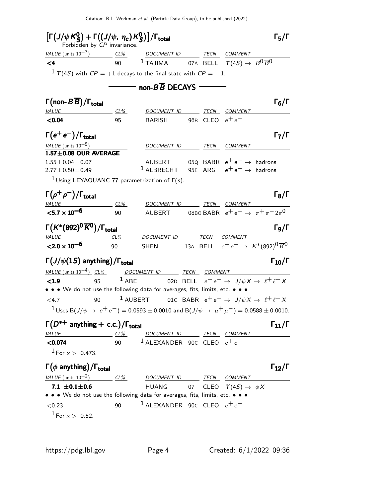| $\left[\Gamma\left(J/\psi K_S^0\right)+\Gamma\left(\left(J/\psi,\ \eta_c\right)K_S^0\right)\right]/\Gamma_{\rm total}$<br>Forbidden by CP invariance. |        |                                                                                     |                   | $\Gamma_5/\Gamma$                   |
|-------------------------------------------------------------------------------------------------------------------------------------------------------|--------|-------------------------------------------------------------------------------------|-------------------|-------------------------------------|
| $VALUE$ (units $10^{-7}$ ) CL% DOCUMENT ID TECN COMMENT                                                                                               |        |                                                                                     |                   |                                     |
| $\leq 4$                                                                                                                                              |        | 90 <sup>1</sup> TAJIMA 07A BELL $\Upsilon(4S) \rightarrow B^0 \overline{B}^0$       |                   |                                     |
| $1 \tau(4S)$ with $CP = +1$ decays to the final state with $CP = -1$ .                                                                                |        |                                                                                     |                   |                                     |
|                                                                                                                                                       |        |                                                                                     |                   |                                     |
|                                                                                                                                                       |        |                                                                                     |                   |                                     |
| $\Gamma(\text{non-}B\overline{B})/\Gamma_\text{total}$                                                                                                |        |                                                                                     |                   | $\Gamma_6/\Gamma$                   |
| <b>VALUE</b>                                                                                                                                          | CL%    | DOCUMENT ID TECN COMMENT                                                            |                   |                                     |
| < 0.04                                                                                                                                                | 95     | BARISH                                                                              | 96B CLEO $e^+e^-$ |                                     |
| $\Gamma(e^+e^-)/\Gamma_{\rm total}$                                                                                                                   |        |                                                                                     |                   | $\mathsf{\Gamma}_7/\mathsf{\Gamma}$ |
| VALUE (units $10^{-5}$ )                                                                                                                              |        | DOCUMENT ID TECN COMMENT                                                            |                   |                                     |
| $1.57 \pm 0.08$ OUR AVERAGE                                                                                                                           |        |                                                                                     |                   |                                     |
| $1.55 \pm 0.04 \pm 0.07$                                                                                                                              |        | AUBERT 050 BABR $e^+e^- \rightarrow$ hadrons                                        |                   |                                     |
| $2.77 \pm 0.50 \pm 0.49$                                                                                                                              |        | <sup>1</sup> ALBRECHT 95E ARG $e^+e^- \rightarrow$ hadrons                          |                   |                                     |
| <sup>1</sup> Using LEYAOUANC 77 parametrization of $\Gamma(s)$ .                                                                                      |        |                                                                                     |                   |                                     |
| $\Gamma(\rho^+\rho^-)/\Gamma_{\rm total}$                                                                                                             |        |                                                                                     |                   | $\Gamma_8/\Gamma$                   |
| <b>VALUE</b>                                                                                                                                          | $CL\%$ | DOCUMENT ID TECN COMMENT                                                            |                   |                                     |
| $< 5.7 \times 10^{-6}$                                                                                                                                | 90     | AUBERT 08BO BABR $e^+e^- \rightarrow \pi^+\pi^-2\pi^0$                              |                   |                                     |
| $\Gamma(K^*(892)^0\overline{K}^0)/\Gamma_{\rm total}$                                                                                                 |        |                                                                                     |                   | Го/Г                                |
| $VALUE$ $CL%$                                                                                                                                         |        | DOCUMENT ID TECN COMMENT                                                            |                   |                                     |
| ${<}2.0\times10^{-6}$                                                                                                                                 | 90     | SHEN 13A BELL $e^+e^- \rightarrow K^*(892)^0 \overline{K}^0$                        |                   |                                     |
| $\Gamma(J/\psi(1S)$ anything)/ $\Gamma_{\text{total}}$                                                                                                |        |                                                                                     |                   | $\Gamma_{10}/\Gamma$                |
| $VALUE$ (units $10^{-4}$ ) $CL\%$ DOCUMENT ID TECN COMMENT                                                                                            |        |                                                                                     |                   |                                     |
| < 1.9<br>95                                                                                                                                           |        | <sup>1</sup> ABE 02D BELL $e^+e^- \rightarrow J/\psi X \rightarrow \ell^+ \ell^- X$ |                   |                                     |
| • • • We do not use the following data for averages, fits, limits, etc. • • •                                                                         |        |                                                                                     |                   |                                     |
| < 4.7<br>90                                                                                                                                           |        | $^1$ AUBERT 010 BABR $e^+e^- \rightarrow J/\psi X \rightarrow \ell^+ \ell^- X$      |                   |                                     |
| $1$ Uses B(J/ $\psi \rightarrow e^+e^-$ ) = 0.0593 $\pm$ 0.0010 and B(J/ $\psi \rightarrow \mu^+\mu^-$ ) = 0.0588 $\pm$ 0.0010.                       |        |                                                                                     |                   |                                     |
| $\Gamma(D^{*+}$ anything + c.c.)/ $\Gamma_{total}$                                                                                                    |        |                                                                                     |                   | $\Gamma_{11}/\Gamma$                |
| <b>VALUE</b>                                                                                                                                          | $CL\%$ | DOCUMENT ID TECN COMMENT                                                            |                   |                                     |
| < 0.074                                                                                                                                               |        | 90 $1$ ALEXANDER 90C CLEO $e^+e^-$                                                  |                   |                                     |
| $1$ For $x > 0.473$ .                                                                                                                                 |        |                                                                                     |                   |                                     |
| $\Gamma(\phi \text{ anything})/\Gamma_{\text{total}}$                                                                                                 |        |                                                                                     |                   | $\Gamma_{12}/\Gamma$                |
| VALUE (units $10^{-2}$ ) CL%                                                                                                                          |        | DOCUMENT ID TECN COMMENT                                                            |                   |                                     |
| 7.1 $\pm$ 0.1 $\pm$ 0.6                                                                                                                               |        | HUANG 07 CLEO $\Upsilon(4S) \rightarrow \phi X$                                     |                   |                                     |
| • • • We do not use the following data for averages, fits, limits, etc. • • •                                                                         |        |                                                                                     |                   |                                     |
| < 0.23                                                                                                                                                | 90     | <sup>1</sup> ALEXANDER 90C CLEO $e^+e^-$                                            |                   |                                     |
| $1$ For $x > 0.52$ .                                                                                                                                  |        |                                                                                     |                   |                                     |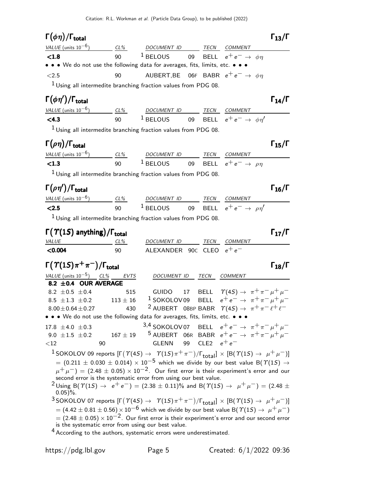#### Γ $(\phi \eta)/\Gamma_{\text{total}}$  Γ<sub>13</sub>/Γ total and the set of  $\sim$  13/1

| VALUE (units $10^{-6}$ )                                                      | $CL\%$ | <i>DOCUMENT ID</i>                                         |  | TECN | COMMENT |  |
|-------------------------------------------------------------------------------|--------|------------------------------------------------------------|--|------|---------|--|
| < 1.8                                                                         | 90     | <sup>1</sup> BELOUS 09 BELL $e^+e^- \rightarrow \phi \eta$ |  |      |         |  |
| • • • We do not use the following data for averages, fits, limits, etc. • • • |        |                                                            |  |      |         |  |
| <2.5                                                                          | 90     | AUBERT, BE 06F BABR $e^+e^- \rightarrow \phi \eta$         |  |      |         |  |
| $1$ Using all intermedite branching fraction values from PDG 08.              |        |                                                            |  |      |         |  |

## Γ $(\phi \eta')/$ Γ<sub>total</sub> Γ

| VALUE (units $10^{-6}$ ) | CL% | <i>DOCUMENT ID</i> | TECN | <i>COMMENT</i>                                  |
|--------------------------|-----|--------------------|------|-------------------------------------------------|
| $<$ 4.3                  | 90  | $1$ BELOUS         |      | 09 BELL $e^+e^- \rightarrow \phi \eta^{\prime}$ |

<sup>1</sup> Using all intermedite branching fraction values from PDG 08.

| $\Gamma(\rho\eta)/\Gamma_{\rm total}$ |        |                    |      |                                       | $\Gamma_{15}/\Gamma$ |
|---------------------------------------|--------|--------------------|------|---------------------------------------|----------------------|
| VALUE (units $10^{-6}$ )              | $CL\%$ | <i>DOCUMENT ID</i> | TECN | COMMENT                               |                      |
| < 1.3                                 | ۹N     | $1$ BELOUS         |      | 09 BELL $e^+e^- \rightarrow \rho\eta$ |                      |
| .                                     | .      |                    |      |                                       |                      |

 $1$  Using all intermedite branching fraction values from PDG 08.

| $\Gamma(\rho\eta')/\Gamma_{\rm total}$ |        |             |      |                                         | $\Gamma_{16}/\Gamma$ |
|----------------------------------------|--------|-------------|------|-----------------------------------------|----------------------|
| VALUE (units $10^{-6}$ )               | $CL\%$ | DOCUMENT ID | TECN | COMMENT                                 |                      |
| < 2.5                                  | 90     | $1$ BELOUS  |      | 09 BELL $e^+e^- \rightarrow \rho \eta'$ |                      |

 $1$  Using all intermedite branching fraction values from PDG 08.

| $\Gamma(\Upsilon(1S)$ anything)/ $\Gamma_{total}$ |     |                                |  |      |                |  |
|---------------------------------------------------|-----|--------------------------------|--|------|----------------|--|
| <i>VALUE</i>                                      | CL% | DOCUMENT ID                    |  | TECN | <i>COMMENT</i> |  |
| $<$ 0.004                                         | 90  | ALEXANDER 90 $c$ CLEO $e^+e^-$ |  |      |                |  |

| $\Gamma(\Upsilon(1S)\pi^+\pi^-)/\Gamma_{\rm total}$                           |     |                                                                                   |  |                | $\Gamma_{18}/\Gamma$                                                  |
|-------------------------------------------------------------------------------|-----|-----------------------------------------------------------------------------------|--|----------------|-----------------------------------------------------------------------|
| VALUE (units $10^{-5}$ ) CL% EVTS                                             |     | DOCUMENT ID TECN                                                                  |  | <b>COMMENT</b> |                                                                       |
| 8.2 ± 0.4 OUR AVERAGE                                                         |     |                                                                                   |  |                |                                                                       |
| 8.2 $\pm$ 0.5 $\pm$ 0.4                                                       | 515 |                                                                                   |  |                | GUIDO 17 BELL $\Upsilon(4S) \rightarrow \pi^+ \pi^- \mu^+ \mu^-$      |
| $8.5 \pm 1.3 \pm 0.2$ $113 \pm 16$                                            |     |                                                                                   |  |                | <sup>1</sup> SOKOLOV09 BELL $e^+e^- \rightarrow \pi^+\pi^-\mu^+\mu^-$ |
| $8.00 \pm 0.64 \pm 0.27$                                                      | 430 | <sup>2</sup> AUBERT 08BP BABR $\[\Gamma(45) \rightarrow \pi^+\pi^-\ell^+\ell^-\]$ |  |                |                                                                       |
| • • • We do not use the following data for averages, fits, limits, etc. • • • |     |                                                                                   |  |                |                                                                       |
| 17.8 $\pm$ 4.0 $\pm$ 0.3                                                      |     | 3,4 SOKOLOV07 BELL $e^+e^- \rightarrow \pi^+\pi^-\mu^+\mu^-$                      |  |                |                                                                       |
| 9.0 $\pm 1.5$ $\pm 0.2$                                                       |     | 167 ± 19 $\frac{5}{2}$ AUBERT 06R BABR $e^+e^- \rightarrow \pi^+\pi^-\mu^+\mu^-$  |  |                |                                                                       |
| $\langle 12 \rangle$                                                          | 90  | GLENN 99 CLE2 $e^+e^-$                                                            |  |                |                                                                       |

 $1$  SOKOLOV 09 reports  $[Γ(T(4S) → T(1S)π+π-)/Γ_{total}] × [B(T(1S) → μ+μ-)]$  $= (0.211 \pm 0.030 \pm 0.014) \times 10^{-5}$  which we divide by our best value B(T(1S)  $\rightarrow$  $(\mu^+ \mu^-)$  = (2.48  $\pm$  0.05)  $\times$  10 $^{-2}$ . Our first error is their experiment's error and our second error is the systematic error from using our best value.

<sup>2</sup>Using B( $\Upsilon(1S)$  →  $e^+e^-$ ) = (2.38 ± 0.11)% and B( $\Upsilon(1S)$  →  $\mu^+\mu^-$ ) = (2.48 ±  $0.05$ )%.

 $3$  SOKOLOV 07 reports  $[\Gamma(\Upsilon(45) \rightarrow \Upsilon(15) \pi^+ \pi^-)/\Gamma_{\text{total}}] \times [B(\Upsilon(15) \rightarrow \mu^+ \mu^-)]$  $= (4.42 \pm 0.81 \pm 0.56) \times 10^{-6}$  which we divide by our best value B( $\gamma(1S) \rightarrow \mu^+ \mu^-$ )  $= (2.48 \pm 0.05) \times 10^{-2}$ . Our first error is their experiment's error and our second error is the systematic error from using our best value.

<sup>4</sup> According to the authors, systematic errors were underestimated.

 $\Gamma_{14}/\Gamma$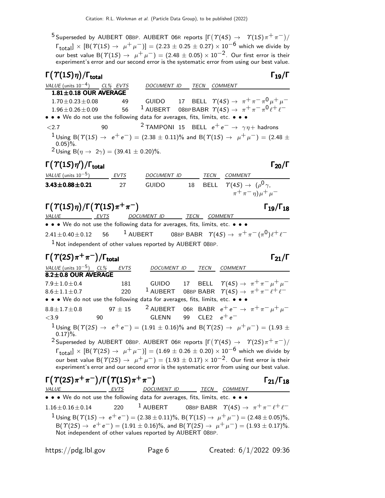$^5$ Superseded by AUBERT 08BP. AUBERT 06R reports  $[\Gamma(\varUpsilon(4S) \to \varUpsilon(1S) \pi^+ \pi^-)/\varUpsilon]$  $\Gamma_{\text{total}} \times [\text{B}(\Upsilon(15) \to \mu^+ \mu^-)] = (2.23 \pm 0.25 \pm 0.27) \times 10^{-6}$  which we divide by our best value B( $\Upsilon(15) \rightarrow \mu^+ \mu^-) = (2.48 \pm 0.05) \times 10^{-2}$ . Our first error is their experiment's error and our second error is the systematic error from using our best value.

| $\Gamma(\Upsilon(1S)\eta)/\Gamma_{\text{total}}$                              |      |                                                                         |      |                 | $\Gamma_{19}/\Gamma$                                                                                                                |
|-------------------------------------------------------------------------------|------|-------------------------------------------------------------------------|------|-----------------|-------------------------------------------------------------------------------------------------------------------------------------|
| VALUE (units $10^{-4}$ ) CL% EVTS                                             |      | <i>DOCUMENT ID</i>                                                      | TECN | <i>COMMENT</i>  |                                                                                                                                     |
| $1.81 \pm 0.18$ OUR AVERAGE                                                   |      |                                                                         |      |                 |                                                                                                                                     |
| $1.70 \pm 0.23 \pm 0.08$                                                      | 49   |                                                                         |      |                 | GUIDO 17 BELL $\Upsilon(4S) \rightarrow \pi^+ \pi^- \pi^0 \mu^+ \mu^-$                                                              |
| $1.96 \pm 0.26 \pm 0.09$                                                      | 56   |                                                                         |      |                 | <sup>1</sup> AUBERT 08BPBABR $\Upsilon(4S) \rightarrow \pi^+ \pi^- \pi^0 \ell^+ \ell^-$                                             |
| • • • We do not use the following data for averages, fits, limits, etc. • • • |      |                                                                         |      |                 |                                                                                                                                     |
| ${<}2.7$                                                                      | 90   | <sup>2</sup> TAMPONI 15 BELL $e^+e^- \rightarrow \gamma \eta +$ hadrons |      |                 |                                                                                                                                     |
| $0.05$ )%.<br><sup>2</sup> Using B( $\eta \to 2\gamma$ ) = (39.41 ± 0.20)%.   |      |                                                                         |      |                 | $1$ Using B( $\Upsilon(15) \rightarrow e^+e^-$ ) = (2.38 $\pm$ 0.11)% and B( $\Upsilon(15) \rightarrow \mu^+ \mu^-$ ) = (2.48 $\pm$ |
| $\Gamma(\Upsilon(1S)\eta')/\Gamma_{\text{total}}$                             |      |                                                                         |      |                 | Г <sub>20</sub> /Г                                                                                                                  |
| VALUE (units $10^{-5}$ )                                                      | EVTS | DOCUMENT ID                                                             |      | TECN<br>COMMENT |                                                                                                                                     |
| $3.43 \pm 0.88 \pm 0.21$                                                      | 27   | GUIDO                                                                   |      |                 | 18 BELL $\Upsilon(4S) \rightarrow (\rho^0 \gamma,$                                                                                  |
|                                                                               |      |                                                                         |      |                 | $(\pi^+ \pi^- \eta) \mu^+ \mu^-$                                                                                                    |

#### Γ $(T(1S)\eta)/\Gamma(T(1S)\pi^+\pi^-)$  Γ<sub>19</sub>/Γ<sub>18</sub>

VALUE EVTS DOCUMENT ID TECN COMMENT • • • We do not use the following data for averages, fits, limits, etc. • • •  $2.41\pm0.40\pm0.12$  56  $^{-1}$  AUBERT 08BP BABR  $\ \varUpsilon(4S) \rightarrow \ \pi^{+}\,\pi^{-}\,(\pi^{0})\ell^{+}\,\ell^{-}$  $1$  Not independent of other values reported by AUBERT 08BP.

## $\Gamma(\Upsilon(2S)\pi^+\pi^-)/\Gamma_{\rm total}$

VALUE (units 10<sup>-5</sup>) CL% EVTS DOCUMENT ID TECN COMMENT  $8.2\pm0.8$  OUR AVERAGE 7.9±1.0±0.4 181 GUIDO 17 BELL  $\Upsilon(4S) \to \pi^+ \pi^- \mu^+ \mu^ 8.6 \pm 1.1 \pm 0.7$  220 <sup>1</sup> AUBERT 08BP BABR  $\gamma(45) \to \pi^+ \pi^- \ell^+ \ell^-$ • • • We do not use the following data for averages, fits, limits, etc. • • • 8.8±1.7±0.8 97 ± 15 <sup>2</sup> AUBERT 06R BABR  $e^+e^- \rightarrow \pi^+\pi^-\mu^+\mu^-$ <sup>&</sup>lt;3.9 90 GLENN 99 CLE2 <sup>e</sup><sup>+</sup> <sup>e</sup><sup>−</sup>  $1$ Using B( $\Upsilon(2S)$  →  $e^+e^-$ ) = (1.91  $\pm$  0.16)% and B( $\Upsilon(2S)$  →  $\mu^+\mu^-$ ) = (1.93  $\pm$  $0.17$ %.  $2$  Superseded by AUBERT 08BP. AUBERT 06R reports  $[\Gamma(\Upsilon(4S) \rightarrow \Upsilon(2S) \pi^+ \pi^-)/\Psi]$  $\Gamma_{\text{total}}$  × [B( $\Upsilon(2S) \to \mu^+ \mu^-$ )] = (1.69 ± 0.26 ± 0.20) × 10<sup>-6</sup> which we divide by our best value B( $\Upsilon(2S) \rightarrow \mu^+ \mu^-) = (1.93 \pm 0.17) \times 10^{-2}$ . Our first error is their experiment's error and our second error is the systematic error from using our best value. Γ $(T(2S)\pi^{+}\pi^{-})$ /Γ $(T(1S)\pi^{+}\pi^{-})$  Γ<sub>21</sub>/Γ<sub>18</sub>  $\Gamma_{21}/\Gamma_{18}$ VALUE EVTS DOCUMENT ID TECN COMMENT • • • We do not use the following data for averages, fits, limits, etc. • • •  $1.16 \pm 0.16 \pm 0.14$  220 <sup>1</sup> AUBERT 08BP BABR  $\Upsilon(45) \rightarrow \pi^{+} \pi^{-} \ell^{+} \ell^{-}$  $1_{\text{Using B}}(T(1S) \rightarrow e^+e^-) = (2.38 \pm 0.11)\%$ ,  $B(T(1S) \rightarrow \mu^+ \mu^-) = (2.48 \pm 0.05)\%$ ,  $B(\Upsilon(2S) \rightarrow e^+e^-) = (1.91 \pm 0.16)\%$ , and  $B(\Upsilon(2S) \rightarrow \mu^+ \mu^-) = (1.93 \pm 0.17)\%$ . Not independent of other values reported by AUBERT 08BP.

 $\Gamma_{19}/\Gamma_{18}$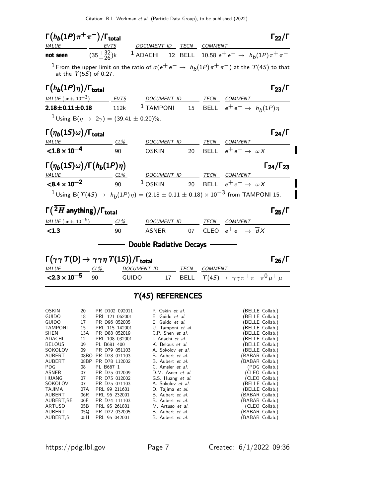| $\Gamma(h_b(1P)\pi^+\pi^-)/\Gamma_{\rm total}$<br><u>VALUE</u>                                                                                                                                                                         |                                                                                                                 | EVTS                                                                                                                                                                                                                                                                                                                                                     |              |                                                                                                                                                                                                                                                                                                                                                                                                                              |    | DOCUMENT ID TECN COMMENT                                                                                          | $\Gamma_{22}/\Gamma$                                                                                                                                                                                                                                                                                                                                                                |
|----------------------------------------------------------------------------------------------------------------------------------------------------------------------------------------------------------------------------------------|-----------------------------------------------------------------------------------------------------------------|----------------------------------------------------------------------------------------------------------------------------------------------------------------------------------------------------------------------------------------------------------------------------------------------------------------------------------------------------------|--------------|------------------------------------------------------------------------------------------------------------------------------------------------------------------------------------------------------------------------------------------------------------------------------------------------------------------------------------------------------------------------------------------------------------------------------|----|-------------------------------------------------------------------------------------------------------------------|-------------------------------------------------------------------------------------------------------------------------------------------------------------------------------------------------------------------------------------------------------------------------------------------------------------------------------------------------------------------------------------|
| not seen                                                                                                                                                                                                                               |                                                                                                                 |                                                                                                                                                                                                                                                                                                                                                          |              |                                                                                                                                                                                                                                                                                                                                                                                                                              |    |                                                                                                                   | $(35\frac{+32}{-26})$ k <sup>1</sup> ADACHI 12 BELL 10.58 $e^+e^- \rightarrow h_b(1P)\pi^+\pi^-$                                                                                                                                                                                                                                                                                    |
| at the $\Upsilon(5S)$ of 0.27.                                                                                                                                                                                                         |                                                                                                                 |                                                                                                                                                                                                                                                                                                                                                          |              |                                                                                                                                                                                                                                                                                                                                                                                                                              |    |                                                                                                                   | $^1$ From the upper limit on the ratio of $\sigma(e^+e^-\rightarrow ~h_b(1P)\pi^+\pi^-)$ at the $\varUpsilon(4S)$ to that                                                                                                                                                                                                                                                           |
| $\Gamma(h_b(1P)\eta)/\Gamma_{\rm total}$                                                                                                                                                                                               |                                                                                                                 |                                                                                                                                                                                                                                                                                                                                                          |              |                                                                                                                                                                                                                                                                                                                                                                                                                              |    |                                                                                                                   | $\Gamma_{23}/\Gamma$                                                                                                                                                                                                                                                                                                                                                                |
| VALUE (units $10^{-3}$ ) _______ EVTS DOCUMENT ID TECN COMMENT                                                                                                                                                                         |                                                                                                                 |                                                                                                                                                                                                                                                                                                                                                          |              |                                                                                                                                                                                                                                                                                                                                                                                                                              |    |                                                                                                                   |                                                                                                                                                                                                                                                                                                                                                                                     |
| $2.18 \pm 0.11 \pm 0.18$                                                                                                                                                                                                               |                                                                                                                 | 112k                                                                                                                                                                                                                                                                                                                                                     |              |                                                                                                                                                                                                                                                                                                                                                                                                                              |    | <sup>1</sup> TAMPONI 15 BELL $e^+e^- \rightarrow h_b(1P)\eta$                                                     |                                                                                                                                                                                                                                                                                                                                                                                     |
|                                                                                                                                                                                                                                        |                                                                                                                 | <sup>1</sup> Using B( $\eta \to 2\gamma$ ) = (39.41 ± 0.20)%.                                                                                                                                                                                                                                                                                            |              |                                                                                                                                                                                                                                                                                                                                                                                                                              |    |                                                                                                                   |                                                                                                                                                                                                                                                                                                                                                                                     |
| $\Gamma(\eta_b(1S)\omega)/\Gamma_{\rm total}$                                                                                                                                                                                          |                                                                                                                 |                                                                                                                                                                                                                                                                                                                                                          |              |                                                                                                                                                                                                                                                                                                                                                                                                                              |    | <u>TECN COMMENT</u>                                                                                               | $\Gamma_{24}/\Gamma$                                                                                                                                                                                                                                                                                                                                                                |
| <b>VALUE</b><br>$< 1.8 \times 10^{-4}$                                                                                                                                                                                                 |                                                                                                                 | CL%<br>90                                                                                                                                                                                                                                                                                                                                                |              | <u>DOCUMENT ID</u><br><b>OSKIN</b>                                                                                                                                                                                                                                                                                                                                                                                           | 20 | BELL $e^+e^- \rightarrow \omega X$                                                                                |                                                                                                                                                                                                                                                                                                                                                                                     |
|                                                                                                                                                                                                                                        |                                                                                                                 |                                                                                                                                                                                                                                                                                                                                                          |              |                                                                                                                                                                                                                                                                                                                                                                                                                              |    |                                                                                                                   |                                                                                                                                                                                                                                                                                                                                                                                     |
| $\Gamma(\eta_b(1S)\omega)/\Gamma(h_b(1P)\eta)$                                                                                                                                                                                         |                                                                                                                 |                                                                                                                                                                                                                                                                                                                                                          |              |                                                                                                                                                                                                                                                                                                                                                                                                                              |    |                                                                                                                   | $\Gamma_{24}/\Gamma_{23}$                                                                                                                                                                                                                                                                                                                                                           |
| VALUE $\frac{CL\%}{90}$ $\frac{DOCUMENT ID}{105KIN}$ $\frac{TECN}{20}$ $\frac{COMMENT}{RFI}$ $\frac{COMMENT}{P^+e^-}$                                                                                                                  |                                                                                                                 |                                                                                                                                                                                                                                                                                                                                                          |              |                                                                                                                                                                                                                                                                                                                                                                                                                              |    |                                                                                                                   |                                                                                                                                                                                                                                                                                                                                                                                     |
|                                                                                                                                                                                                                                        |                                                                                                                 |                                                                                                                                                                                                                                                                                                                                                          |              |                                                                                                                                                                                                                                                                                                                                                                                                                              |    | <sup>1</sup> OSKIN 20 BELL $e^+e^- \rightarrow \omega X$                                                          |                                                                                                                                                                                                                                                                                                                                                                                     |
|                                                                                                                                                                                                                                        |                                                                                                                 |                                                                                                                                                                                                                                                                                                                                                          |              |                                                                                                                                                                                                                                                                                                                                                                                                                              |    | <sup>1</sup> Using B( $\Upsilon(4S) \to h_b(1P)\eta$ ) = (2.18 ± 0.11 ± 0.18) × 10 <sup>-3</sup> from TAMPONI 15. |                                                                                                                                                                                                                                                                                                                                                                                     |
| $\Gamma(\overline{\,^2H}$ anything)/ $\Gamma_{\text{total}}$                                                                                                                                                                           |                                                                                                                 |                                                                                                                                                                                                                                                                                                                                                          |              |                                                                                                                                                                                                                                                                                                                                                                                                                              |    |                                                                                                                   | $\Gamma_{25}/\Gamma$                                                                                                                                                                                                                                                                                                                                                                |
| VALUE (units $10^{-5}$ ) CL%                                                                                                                                                                                                           |                                                                                                                 |                                                                                                                                                                                                                                                                                                                                                          |              | DOCUMENT ID                                                                                                                                                                                                                                                                                                                                                                                                                  |    | TECN COMMENT                                                                                                      |                                                                                                                                                                                                                                                                                                                                                                                     |
| < 1.3                                                                                                                                                                                                                                  |                                                                                                                 | 90                                                                                                                                                                                                                                                                                                                                                       |              | ASNER                                                                                                                                                                                                                                                                                                                                                                                                                        |    | 07 CLEO $e^+e^- \rightarrow \overline{d}X$                                                                        |                                                                                                                                                                                                                                                                                                                                                                                     |
|                                                                                                                                                                                                                                        |                                                                                                                 |                                                                                                                                                                                                                                                                                                                                                          |              | Double Radiative Decays -                                                                                                                                                                                                                                                                                                                                                                                                    |    |                                                                                                                   |                                                                                                                                                                                                                                                                                                                                                                                     |
| $\Gamma(\gamma\gamma\;\varUpsilon(\mathsf{D})\to\gamma\gamma\eta\;\varUpsilon(1S))/\Gamma_{\mathsf{total}}$                                                                                                                            |                                                                                                                 |                                                                                                                                                                                                                                                                                                                                                          |              |                                                                                                                                                                                                                                                                                                                                                                                                                              |    |                                                                                                                   | $\Gamma_{26}/\Gamma$                                                                                                                                                                                                                                                                                                                                                                |
| $VALUE$ $CL\%$                                                                                                                                                                                                                         |                                                                                                                 |                                                                                                                                                                                                                                                                                                                                                          |              | DOCUMENT ID _______ TECN COMMENT                                                                                                                                                                                                                                                                                                                                                                                             |    |                                                                                                                   |                                                                                                                                                                                                                                                                                                                                                                                     |
| $\leq$ 2.3 $\times$ 10 <sup>-5</sup> 90                                                                                                                                                                                                |                                                                                                                 |                                                                                                                                                                                                                                                                                                                                                          | <b>GUIDO</b> |                                                                                                                                                                                                                                                                                                                                                                                                                              |    | 17 BELL $\Upsilon(4S) \rightarrow \gamma \gamma \pi^+ \pi^- \pi^0 \mu^+ \mu^-$                                    |                                                                                                                                                                                                                                                                                                                                                                                     |
|                                                                                                                                                                                                                                        |                                                                                                                 |                                                                                                                                                                                                                                                                                                                                                          |              | $\Upsilon$ (4S) REFERENCES                                                                                                                                                                                                                                                                                                                                                                                                   |    |                                                                                                                   |                                                                                                                                                                                                                                                                                                                                                                                     |
| OSKIN<br><b>GUIDO</b><br><b>GUIDO</b><br><b>TAMPONI</b><br>SHEN<br>ADACHI<br><b>BELOUS</b><br>SOKOLOV<br>AUBERT<br>AUBERT<br>PDG<br>ASNER<br><b>HUANG</b><br>SOKOLOV<br>TAJIMA<br>AUBERT<br>AUBERT, BE<br>ARTUSO<br>AUBERT<br>AUBERT,B | 20<br>18<br>17<br>15<br>13A<br>12<br>09<br>09<br>08<br>07<br>07<br>07<br>07A<br>06R<br>06F<br>05B<br>05Q<br>05H | PR D102 092011<br>PRL 121 062001<br>PR D96 052005<br>PRL 115 142001<br>PR D88 052019<br>PRL 108 032001<br>PL B681 400<br>PR D79 051103<br>08BO PR D78 071103<br>08BP PR D78 112002<br>PL B667 1<br>PR D75 012009<br>PR D75 012002<br>PR D75 071103<br>PRL 99 211601<br>PRL 96 232001<br>PR D74 111103<br>PRL 95 261801<br>PR D72 032005<br>PRL 95 042001 |              | P. Oskin et al.<br>E. Guido et al.<br>E. Guido et al.<br>U. Tamponi et al.<br>C.P. Shen et al.<br>I. Adachi et al.<br>K. Belous et al.<br>A. Sokolov et al.<br>B. Aubert et al.<br>B. Aubert et al.<br>C. Amsler <i>et al.</i><br>D.M. Asner et al.<br>G.S. Huang et al.<br>A. Sokolov et al.<br>O. Tajima et al.<br>B. Aubert et al.<br>B. Aubert et al.<br>M. Artuso et al.<br>B. Aubert et al.<br>B. Aubert <i>et al.</i> |    |                                                                                                                   | (BELLE Collab.)<br>(BELLE Collab.)<br>(BELLE Collab.)<br>(BELLE Collab.)<br>(BELLE Collab.)<br>(BELLE Collab.)<br>(BELLE Collab.)<br>(BELLE Collab.)<br>(BABAR Collab.)<br>(BABAR Collab.)<br>(PDG Collab.)<br>(CLEO Collab.)<br>(CLEO Collab.)<br>(BELLE Collab.)<br>(BELLE Collab.)<br>(BABAR Collab.)<br>(BABAR Collab.)<br>(CLEO Collab.)<br>(BABAR Collab.)<br>(BABAR Collab.) |